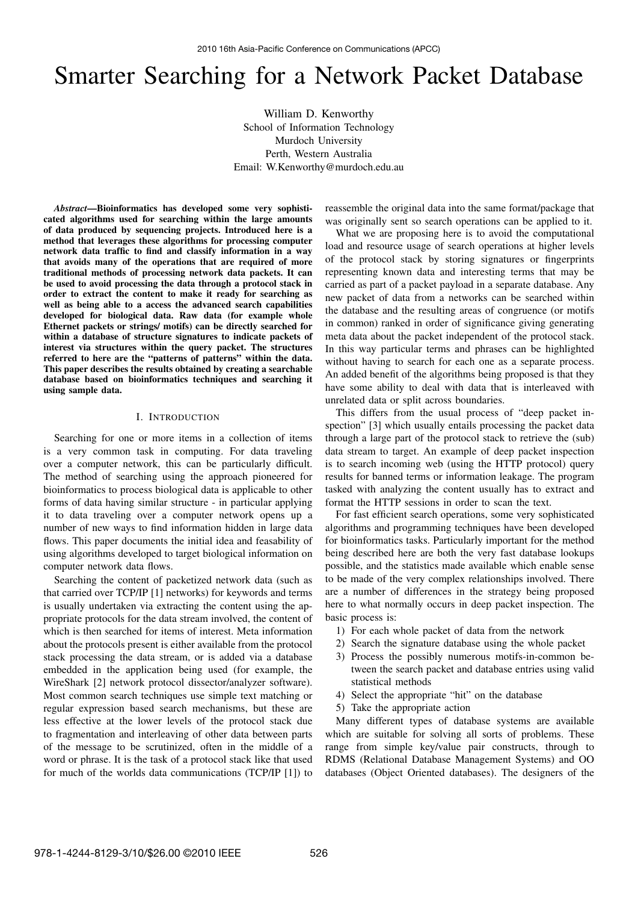# Smarter Searching for a Network Packet Database

William D. Kenworthy School of Information Technology Murdoch University Perth, Western Australia Email: W.Kenworthy@murdoch.edu.au

*Abstract*—Bioinformatics has developed some very sophisticated algorithms used for searching within the large amounts of data produced by sequencing projects. Introduced here is a method that leverages these algorithms for processing computer network data traffic to find and classify information in a way that avoids many of the operations that are required of more traditional methods of processing network data packets. It can be used to avoid processing the data through a protocol stack in order to extract the content to make it ready for searching as well as being able to a access the advanced search capabilities developed for biological data. Raw data (for example whole Ethernet packets or strings/ motifs) can be directly searched for within a database of structure signatures to indicate packets of interest via structures within the query packet. The structures referred to here are the "patterns of patterns" within the data. This paper describes the results obtained by creating a searchable database based on bioinformatics techniques and searching it using sample data.

## I. INTRODUCTION

Searching for one or more items in a collection of items is a very common task in computing. For data traveling over a computer network, this can be particularly difficult. The method of searching using the approach pioneered for bioinformatics to process biological data is applicable to other forms of data having similar structure - in particular applying it to data traveling over a computer network opens up a number of new ways to find information hidden in large data flows. This paper documents the initial idea and feasability of using algorithms developed to target biological information on computer network data flows.

Searching the content of packetized network data (such as that carried over TCP/IP [1] networks) for keywords and terms is usually undertaken via extracting the content using the appropriate protocols for the data stream involved, the content of which is then searched for items of interest. Meta information about the protocols present is either available from the protocol stack processing the data stream, or is added via a database embedded in the application being used (for example, the WireShark [2] network protocol dissector/analyzer software). Most common search techniques use simple text matching or regular expression based search mechanisms, but these are less effective at the lower levels of the protocol stack due to fragmentation and interleaving of other data between parts of the message to be scrutinized, often in the middle of a word or phrase. It is the task of a protocol stack like that used for much of the worlds data communications (TCP/IP [1]) to

reassemble the original data into the same format/package that was originally sent so search operations can be applied to it.

What we are proposing here is to avoid the computational load and resource usage of search operations at higher levels of the protocol stack by storing signatures or fingerprints representing known data and interesting terms that may be carried as part of a packet payload in a separate database. Any new packet of data from a networks can be searched within the database and the resulting areas of congruence (or motifs in common) ranked in order of significance giving generating meta data about the packet independent of the protocol stack. In this way particular terms and phrases can be highlighted without having to search for each one as a separate process. An added benefit of the algorithms being proposed is that they have some ability to deal with data that is interleaved with unrelated data or split across boundaries.

This differs from the usual process of "deep packet inspection" [3] which usually entails processing the packet data through a large part of the protocol stack to retrieve the (sub) data stream to target. An example of deep packet inspection is to search incoming web (using the HTTP protocol) query results for banned terms or information leakage. The program tasked with analyzing the content usually has to extract and format the HTTP sessions in order to scan the text.

For fast efficient search operations, some very sophisticated algorithms and programming techniques have been developed for bioinformatics tasks. Particularly important for the method being described here are both the very fast database lookups possible, and the statistics made available which enable sense to be made of the very complex relationships involved. There are a number of differences in the strategy being proposed here to what normally occurs in deep packet inspection. The basic process is:

- 1) For each whole packet of data from the network
- 2) Search the signature database using the whole packet
- 3) Process the possibly numerous motifs-in-common between the search packet and database entries using valid statistical methods
- 4) Select the appropriate "hit" on the database
- 5) Take the appropriate action

Many different types of database systems are available which are suitable for solving all sorts of problems. These range from simple key/value pair constructs, through to RDMS (Relational Database Management Systems) and OO databases (Object Oriented databases). The designers of the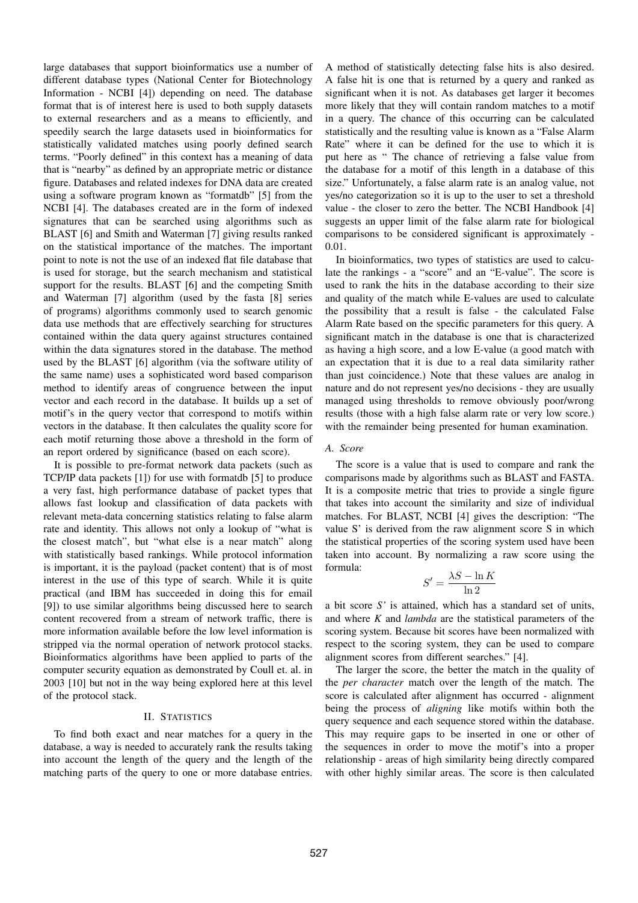large databases that support bioinformatics use a number of different database types (National Center for Biotechnology Information - NCBI [4]) depending on need. The database format that is of interest here is used to both supply datasets to external researchers and as a means to efficiently, and speedily search the large datasets used in bioinformatics for statistically validated matches using poorly defined search terms. "Poorly defined" in this context has a meaning of data that is "nearby" as defined by an appropriate metric or distance figure. Databases and related indexes for DNA data are created using a software program known as "formatdb" [5] from the NCBI [4]. The databases created are in the form of indexed signatures that can be searched using algorithms such as BLAST [6] and Smith and Waterman [7] giving results ranked on the statistical importance of the matches. The important point to note is not the use of an indexed flat file database that is used for storage, but the search mechanism and statistical support for the results. BLAST [6] and the competing Smith and Waterman [7] algorithm (used by the fasta [8] series of programs) algorithms commonly used to search genomic data use methods that are effectively searching for structures contained within the data query against structures contained within the data signatures stored in the database. The method used by the BLAST [6] algorithm (via the software utility of the same name) uses a sophisticated word based comparison method to identify areas of congruence between the input vector and each record in the database. It builds up a set of motif's in the query vector that correspond to motifs within vectors in the database. It then calculates the quality score for each motif returning those above a threshold in the form of an report ordered by significance (based on each score).

It is possible to pre-format network data packets (such as TCP/IP data packets [1]) for use with formatdb [5] to produce a very fast, high performance database of packet types that allows fast lookup and classification of data packets with relevant meta-data concerning statistics relating to false alarm rate and identity. This allows not only a lookup of "what is the closest match", but "what else is a near match" along with statistically based rankings. While protocol information is important, it is the payload (packet content) that is of most interest in the use of this type of search. While it is quite practical (and IBM has succeeded in doing this for email [9]) to use similar algorithms being discussed here to search content recovered from a stream of network traffic, there is more information available before the low level information is stripped via the normal operation of network protocol stacks. Bioinformatics algorithms have been applied to parts of the computer security equation as demonstrated by Coull et. al. in 2003 [10] but not in the way being explored here at this level of the protocol stack.

## II. STATISTICS

To find both exact and near matches for a query in the database, a way is needed to accurately rank the results taking into account the length of the query and the length of the matching parts of the query to one or more database entries.

A method of statistically detecting false hits is also desired. A false hit is one that is returned by a query and ranked as significant when it is not. As databases get larger it becomes more likely that they will contain random matches to a motif in a query. The chance of this occurring can be calculated statistically and the resulting value is known as a "False Alarm Rate" where it can be defined for the use to which it is put here as " The chance of retrieving a false value from the database for a motif of this length in a database of this size." Unfortunately, a false alarm rate is an analog value, not yes/no categorization so it is up to the user to set a threshold value - the closer to zero the better. The NCBI Handbook [4] suggests an upper limit of the false alarm rate for biological comparisons to be considered significant is approximately - 0.01.

In bioinformatics, two types of statistics are used to calculate the rankings - a "score" and an "E-value". The score is used to rank the hits in the database according to their size and quality of the match while E-values are used to calculate the possibility that a result is false - the calculated False Alarm Rate based on the specific parameters for this query. A significant match in the database is one that is characterized as having a high score, and a low E-value (a good match with an expectation that it is due to a real data similarity rather than just coincidence.) Note that these values are analog in nature and do not represent yes/no decisions - they are usually managed using thresholds to remove obviously poor/wrong results (those with a high false alarm rate or very low score.) with the remainder being presented for human examination.

#### *A. Score*

The score is a value that is used to compare and rank the comparisons made by algorithms such as BLAST and FASTA. It is a composite metric that tries to provide a single figure that takes into account the similarity and size of individual matches. For BLAST, NCBI [4] gives the description: "The value S' is derived from the raw alignment score S in which the statistical properties of the scoring system used have been taken into account. By normalizing a raw score using the formula:

$$
S' = \frac{\lambda S - \ln K}{\ln 2}
$$

a bit score *S'* is attained, which has a standard set of units, and where *K* and *lambda* are the statistical parameters of the scoring system. Because bit scores have been normalized with respect to the scoring system, they can be used to compare alignment scores from different searches." [4].

The larger the score, the better the match in the quality of the *per character* match over the length of the match. The score is calculated after alignment has occurred - alignment being the process of *aligning* like motifs within both the query sequence and each sequence stored within the database. This may require gaps to be inserted in one or other of the sequences in order to move the motif's into a proper relationship - areas of high similarity being directly compared with other highly similar areas. The score is then calculated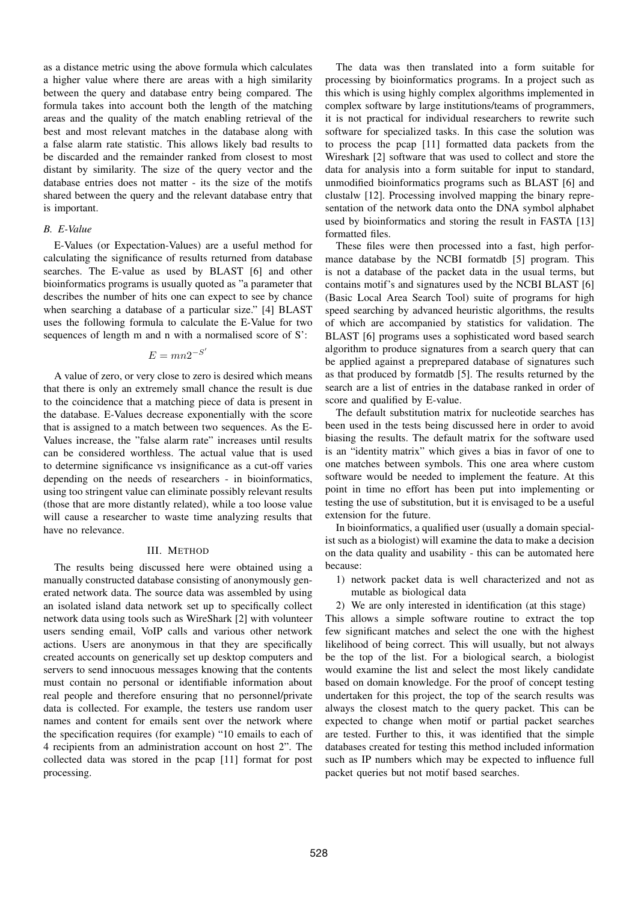as a distance metric using the above formula which calculates a higher value where there are areas with a high similarity between the query and database entry being compared. The formula takes into account both the length of the matching areas and the quality of the match enabling retrieval of the best and most relevant matches in the database along with a false alarm rate statistic. This allows likely bad results to be discarded and the remainder ranked from closest to most distant by similarity. The size of the query vector and the database entries does not matter - its the size of the motifs shared between the query and the relevant database entry that is important.

### *B. E-Value*

E-Values (or Expectation-Values) are a useful method for calculating the significance of results returned from database searches. The E-value as used by BLAST [6] and other bioinformatics programs is usually quoted as "a parameter that describes the number of hits one can expect to see by chance when searching a database of a particular size." [4] BLAST uses the following formula to calculate the E-Value for two sequences of length m and n with a normalised score of S':

## $E = mn2^{-S'}$

A value of zero, or very close to zero is desired which means that there is only an extremely small chance the result is due to the coincidence that a matching piece of data is present in the database. E-Values decrease exponentially with the score that is assigned to a match between two sequences. As the E-Values increase, the "false alarm rate" increases until results can be considered worthless. The actual value that is used to determine significance vs insignificance as a cut-off varies depending on the needs of researchers - in bioinformatics, using too stringent value can eliminate possibly relevant results (those that are more distantly related), while a too loose value will cause a researcher to waste time analyzing results that have no relevance.

#### III. METHOD

The results being discussed here were obtained using a manually constructed database consisting of anonymously generated network data. The source data was assembled by using an isolated island data network set up to specifically collect network data using tools such as WireShark [2] with volunteer users sending email, VoIP calls and various other network actions. Users are anonymous in that they are specifically created accounts on generically set up desktop computers and servers to send innocuous messages knowing that the contents must contain no personal or identifiable information about real people and therefore ensuring that no personnel/private data is collected. For example, the testers use random user names and content for emails sent over the network where the specification requires (for example) "10 emails to each of 4 recipients from an administration account on host 2". The collected data was stored in the pcap [11] format for post processing.

The data was then translated into a form suitable for processing by bioinformatics programs. In a project such as this which is using highly complex algorithms implemented in complex software by large institutions/teams of programmers, it is not practical for individual researchers to rewrite such software for specialized tasks. In this case the solution was to process the pcap [11] formatted data packets from the Wireshark [2] software that was used to collect and store the data for analysis into a form suitable for input to standard, unmodified bioinformatics programs such as BLAST [6] and clustalw [12]. Processing involved mapping the binary representation of the network data onto the DNA symbol alphabet used by bioinformatics and storing the result in FASTA [13] formatted files.

These files were then processed into a fast, high performance database by the NCBI formatdb [5] program. This is not a database of the packet data in the usual terms, but contains motif's and signatures used by the NCBI BLAST [6] (Basic Local Area Search Tool) suite of programs for high speed searching by advanced heuristic algorithms, the results of which are accompanied by statistics for validation. The BLAST [6] programs uses a sophisticated word based search algorithm to produce signatures from a search query that can be applied against a preprepared database of signatures such as that produced by formatdb [5]. The results returned by the search are a list of entries in the database ranked in order of score and qualified by E-value.

The default substitution matrix for nucleotide searches has been used in the tests being discussed here in order to avoid biasing the results. The default matrix for the software used is an "identity matrix" which gives a bias in favor of one to one matches between symbols. This one area where custom software would be needed to implement the feature. At this point in time no effort has been put into implementing or testing the use of substitution, but it is envisaged to be a useful extension for the future.

In bioinformatics, a qualified user (usually a domain specialist such as a biologist) will examine the data to make a decision on the data quality and usability - this can be automated here because:

- 1) network packet data is well characterized and not as mutable as biological data
- 2) We are only interested in identification (at this stage)

This allows a simple software routine to extract the top few significant matches and select the one with the highest likelihood of being correct. This will usually, but not always be the top of the list. For a biological search, a biologist would examine the list and select the most likely candidate based on domain knowledge. For the proof of concept testing undertaken for this project, the top of the search results was always the closest match to the query packet. This can be expected to change when motif or partial packet searches are tested. Further to this, it was identified that the simple databases created for testing this method included information such as IP numbers which may be expected to influence full packet queries but not motif based searches.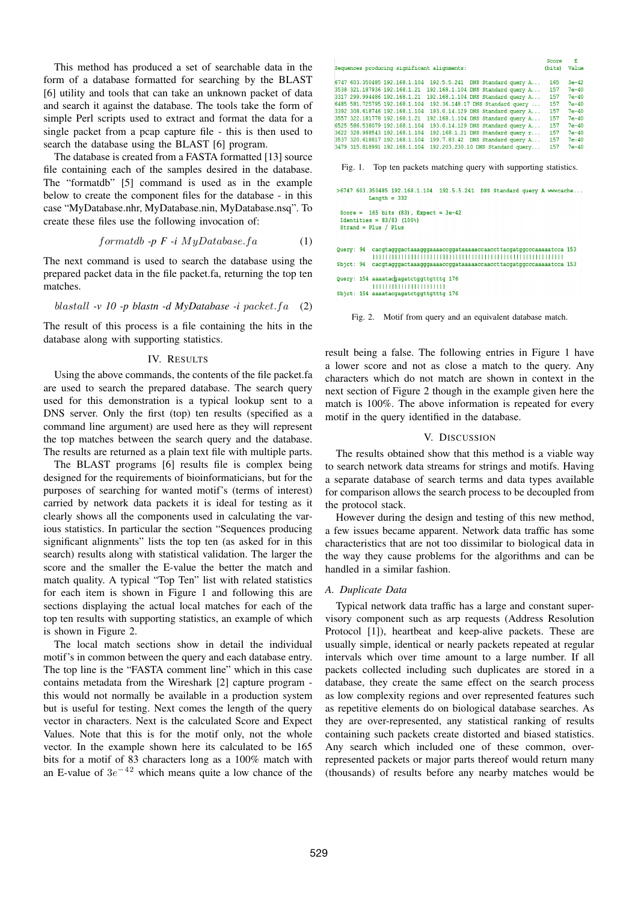This method has produced a set of searchable data in the form of a database formatted for searching by the BLAST [6] utility and tools that can take an unknown packet of data and search it against the database. The tools take the form of simple Perl scripts used to extract and format the data for a single packet from a pcap capture file - this is then used to search the database using the BLAST [6] program.

The database is created from a FASTA formatted [13] source file containing each of the samples desired in the database. The "formatdb" [5] command is used as in the example below to create the component files for the database - in this case "MyDatabase.nhr, MyDatabase.nin, MyDatabase.nsq". To create these files use the following invocation of:

$$
formatdb - p \ F - i \ MyDatabases.fa \tag{1}
$$

The next command is used to search the database using the prepared packet data in the file packet.fa, returning the top ten matches.

$$
blastall -v 10 - p blastn - d MyDatabase - i packet.fa (2)
$$

The result of this process is a file containing the hits in the database along with supporting statistics.

## IV. RESULTS

Using the above commands, the contents of the file packet.fa are used to search the prepared database. The search query used for this demonstration is a typical lookup sent to a DNS server. Only the first (top) ten results (specified as a command line argument) are used here as they will represent the top matches between the search query and the database. The results are returned as a plain text file with multiple parts.

The BLAST programs [6] results file is complex being designed for the requirements of bioinformaticians, but for the purposes of searching for wanted motif's (terms of interest) carried by network data packets it is ideal for testing as it clearly shows all the components used in calculating the various statistics. In particular the section "Sequences producing significant alignments" lists the top ten (as asked for in this search) results along with statistical validation. The larger the score and the smaller the E-value the better the match and match quality. A typical "Top Ten" list with related statistics for each item is shown in Figure 1 and following this are sections displaying the actual local matches for each of the top ten results with supporting statistics, an example of which is shown in Figure 2.

The local match sections show in detail the individual motif's in common between the query and each database entry. The top line is the "FASTA comment line" which in this case contains metadata from the Wireshark [2] capture program this would not normally be available in a production system but is useful for testing. Next comes the length of the query vector in characters. Next is the calculated Score and Expect Values. Note that this is for the motif only, not the whole vector. In the example shown here its calculated to be 165 bits for a motif of 83 characters long as a 100% match with an E-value of 3*e <sup>−</sup>*<sup>42</sup> which means quite a low chance of the

|                                                                                                    | Score        | - 15    |
|----------------------------------------------------------------------------------------------------|--------------|---------|
| Sequences producing significant alignments:                                                        | (bits) Value |         |
| 6747 603.350485 192.168.1.104 192.5.5.241 DNS Standard query A                                     | 165          | $3e-42$ |
| 3538 321.187936 192.168.1.21<br>192.168.1.104 DNS Standard query A                                 | 157          | $7e-40$ |
| 192.168.1.104 DNS Standard query A<br>3317 299.994486 192.168.1.21                                 | 157          | $7e-40$ |
| 6485 581.725795 192.168.1.104 192.36.148.17 DNS Standard query                                     | 157          | $7e-40$ |
| 193.0.14.129 DNS Standard query A<br>3392 308.618746 192.168.1.104                                 | 157          | $7e-40$ |
| 3557 322.181778 192.168.1.21<br>192.168.1.104 DNS Standard query A                                 | 157          | $7e-40$ |
| 6525 586.538079 192.168.1.104<br>193.0.14.129 DNS Standard query A                                 | 157          | $7e-40$ |
| 3622 328.988543 192.168.1.104<br>$192.168.1.21$ DNS Standard query $r$                             | 157          | $7e-40$ |
| 3537 320.618817 192.168.1.104<br>199.7.83.42 DNS Standard query A                                  | 157          | $7e-40$ |
| 3479 315.818991 192.168.1.104 192.203.230.10 DNS Standard query                                    | 157          | $7e-40$ |
| Fig. 1. Top ten packets matching query with supporting statistics.                                 |              |         |
| >6747 603.350485 192.168.1.104 192.5.5.241 DNS Standard query A www.cache<br>Length $= 332$        |              |         |
| Score = $165$ bits (83), Expect = $3e-42$<br>Identities = $83/83$ (100%)<br>$Strand = Plus / Plus$ |              |         |

```
Sbjct: 94 cacgtagggactaaagggaaaaccggataaaaaccaaccttacgatggcccaaaaatcca 153
Query: 154 aaaatacgagatctggttgtttg 176
       <u>mminimminimi</u>
Sbict: 154 aaaatacqaqatctqqttqtttq 176
```
Fig. 2. Motif from query and an equivalent database match.

result being a false. The following entries in Figure 1 have a lower score and not as close a match to the query. Any characters which do not match are shown in context in the next section of Figure 2 though in the example given here the match is 100%. The above information is repeated for every motif in the query identified in the database.

#### V. DISCUSSION

The results obtained show that this method is a viable way to search network data streams for strings and motifs. Having a separate database of search terms and data types available for comparison allows the search process to be decoupled from the protocol stack.

However during the design and testing of this new method, a few issues became apparent. Network data traffic has some characteristics that are not too dissimilar to biological data in the way they cause problems for the algorithms and can be handled in a similar fashion.

#### *A. Duplicate Data*

Typical network data traffic has a large and constant supervisory component such as arp requests (Address Resolution Protocol [1]), heartbeat and keep-alive packets. These are usually simple, identical or nearly packets repeated at regular intervals which over time amount to a large number. If all packets collected including such duplicates are stored in a database, they create the same effect on the search process as low complexity regions and over represented features such as repetitive elements do on biological database searches. As they are over-represented, any statistical ranking of results containing such packets create distorted and biased statistics. Any search which included one of these common, overrepresented packets or major parts thereof would return many (thousands) of results before any nearby matches would be